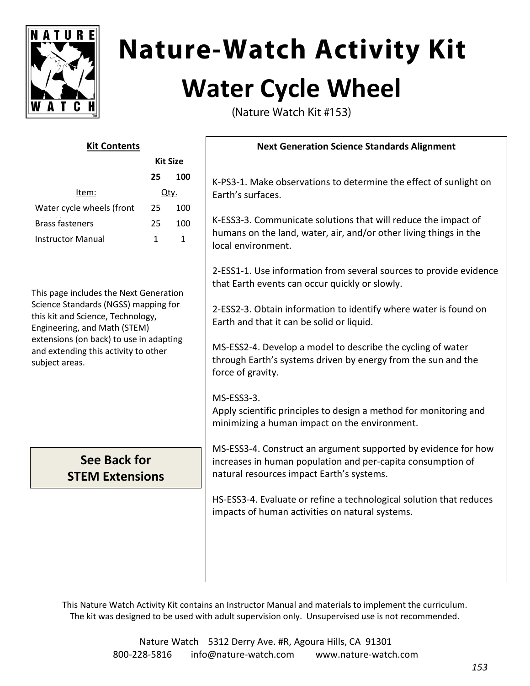

# **Nature-Watch Activity Kit Water Cycle Wheel**

(Nature Watch Kit #153)

| <b>Kit Contents</b>                                                                                                                                                                                                                                                                                                  |    |             | <b>Next Generation Science Standards Alignment</b>                                                                                                                                                                                                                                                                                                                                                                                                                                                                                                                                                                     |
|----------------------------------------------------------------------------------------------------------------------------------------------------------------------------------------------------------------------------------------------------------------------------------------------------------------------|----|-------------|------------------------------------------------------------------------------------------------------------------------------------------------------------------------------------------------------------------------------------------------------------------------------------------------------------------------------------------------------------------------------------------------------------------------------------------------------------------------------------------------------------------------------------------------------------------------------------------------------------------------|
| <b>Kit Size</b>                                                                                                                                                                                                                                                                                                      |    |             |                                                                                                                                                                                                                                                                                                                                                                                                                                                                                                                                                                                                                        |
| Item:                                                                                                                                                                                                                                                                                                                | 25 | 100<br>Qty. | K-PS3-1. Make observations to determine the effect of sunlight on                                                                                                                                                                                                                                                                                                                                                                                                                                                                                                                                                      |
| Water cycle wheels (front                                                                                                                                                                                                                                                                                            | 25 | 100         | Earth's surfaces.                                                                                                                                                                                                                                                                                                                                                                                                                                                                                                                                                                                                      |
| <b>Brass fasteners</b>                                                                                                                                                                                                                                                                                               | 25 | 100         | K-ESS3-3. Communicate solutions that will reduce the impact of<br>humans on the land, water, air, and/or other living things in the                                                                                                                                                                                                                                                                                                                                                                                                                                                                                    |
| <b>Instructor Manual</b><br>$\mathbf{1}$<br>$\mathbf{1}$<br>This page includes the Next Generation<br>Science Standards (NGSS) mapping for<br>this kit and Science, Technology,<br>Engineering, and Math (STEM)<br>extensions (on back) to use in adapting<br>and extending this activity to other<br>subject areas. |    |             | local environment.<br>2-ESS1-1. Use information from several sources to provide evidence<br>that Earth events can occur quickly or slowly.<br>2-ESS2-3. Obtain information to identify where water is found on<br>Earth and that it can be solid or liquid.<br>MS-ESS2-4. Develop a model to describe the cycling of water<br>through Earth's systems driven by energy from the sun and the<br>force of gravity.<br>MS-ESS3-3.<br>Apply scientific principles to design a method for monitoring and<br>minimizing a human impact on the environment.<br>MS-ESS3-4. Construct an argument supported by evidence for how |
| See Back for<br><b>STEM Extensions</b>                                                                                                                                                                                                                                                                               |    |             | increases in human population and per-capita consumption of<br>natural resources impact Earth's systems.                                                                                                                                                                                                                                                                                                                                                                                                                                                                                                               |
|                                                                                                                                                                                                                                                                                                                      |    |             | HS-ESS3-4. Evaluate or refine a technological solution that reduces<br>impacts of human activities on natural systems.                                                                                                                                                                                                                                                                                                                                                                                                                                                                                                 |

This Nature Watch Activity Kit contains an Instructor Manual and materials to implement the curriculum. The kit was designed to be used with adult supervision only. Unsupervised use is not recommended.